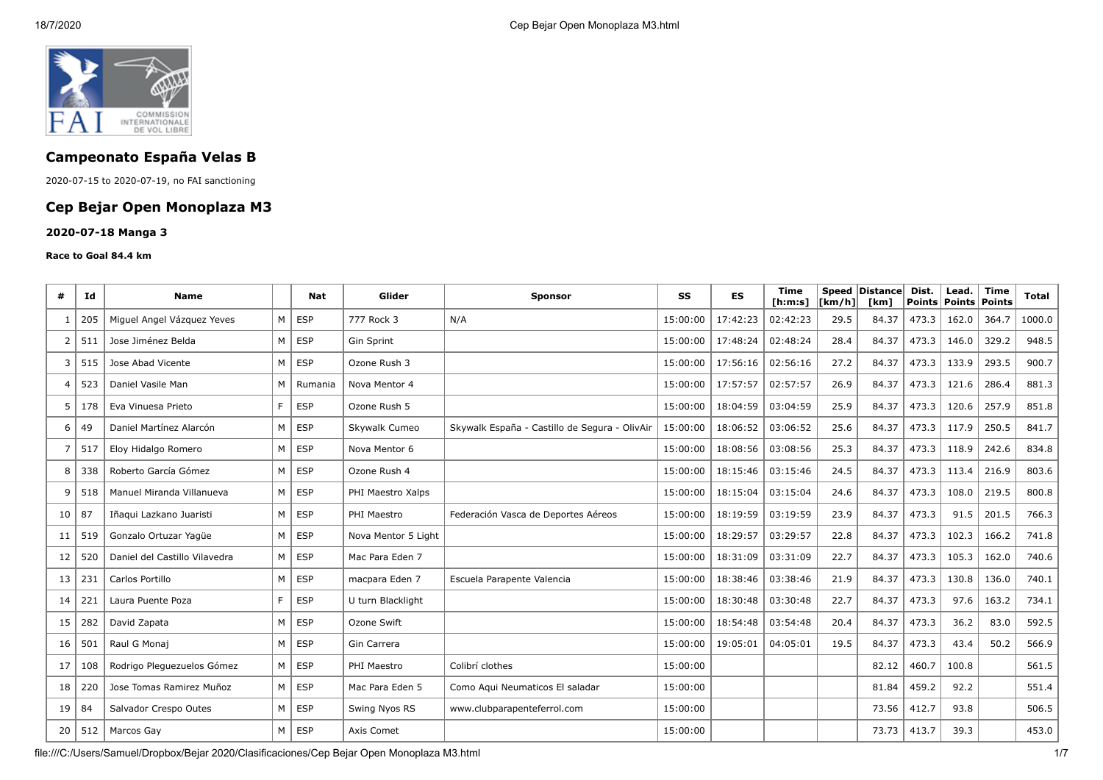

# **Campeonato España Velas B**

2020-07-15 to 2020-07-19, no FAI sanctioning

## **Cep Bejar Open Monoplaza M3**

#### **2020-07-18 Manga 3**

#### **Race to Goal 84.4 km**

| #                       | Ιd  | <b>Name</b>                   |    | Nat        | Glider              | <b>Sponsor</b>                                | SS       | ES       | Time<br>[ <b>h</b> : <b>m</b> : <b>s</b> ] | $\lfloor \frac{\text{Km}}{\text{h}} \rfloor$ | Speed Distance<br>[km] | Dist.<br><b>Points</b> | Lead.<br>Points   Points | <b>Time</b> | Total  |
|-------------------------|-----|-------------------------------|----|------------|---------------------|-----------------------------------------------|----------|----------|--------------------------------------------|----------------------------------------------|------------------------|------------------------|--------------------------|-------------|--------|
| -1                      | 205 | Miguel Angel Vázguez Yeves    | M  | <b>ESP</b> | 777 Rock 3          | N/A                                           | 15:00:00 | 17:42:23 | 02:42:23                                   | 29.5                                         | 84.37                  | 473.3                  | 162.0                    | 364.7       | 1000.0 |
| 2                       | 511 | Jose Jiménez Belda            | M  | <b>ESP</b> | Gin Sprint          |                                               | 15:00:00 | 17:48:24 | 02:48:24                                   | 28.4                                         | 84.37                  | 473.3                  | 146.0                    | 329.2       | 948.5  |
| 3                       | 515 | Jose Abad Vicente             | M  | <b>ESP</b> | Ozone Rush 3        |                                               | 15:00:00 | 17:56:16 | 02:56:16                                   | 27.2                                         | 84.37                  | 473.3                  | 133.9                    | 293.5       | 900.7  |
| $\overline{\mathbf{4}}$ | 523 | Daniel Vasile Man             | M  | Rumania    | Nova Mentor 4       |                                               | 15:00:00 | 17:57:57 | 02:57:57                                   | 26.9                                         | 84.37                  | 473.3                  | 121.6                    | 286.4       | 881.3  |
| 5                       | 178 | Eva Vinuesa Prieto            | F. | <b>ESP</b> | Ozone Rush 5        |                                               | 15:00:00 | 18:04:59 | 03:04:59                                   | 25.9                                         | 84.37                  | 473.3                  | 120.6                    | 257.9       | 851.8  |
| 6                       | 49  | Daniel Martínez Alarcón       | M  | <b>ESP</b> | Skywalk Cumeo       | Skywalk España - Castillo de Segura - OlivAir | 15:00:00 | 18:06:52 | 03:06:52                                   | 25.6                                         | 84.37                  | 473.3                  | 117.9                    | 250.5       | 841.7  |
| 7                       | 517 | Eloy Hidalgo Romero           | M  | <b>ESP</b> | Nova Mentor 6       |                                               | 15:00:00 | 18:08:56 | 03:08:56                                   | 25.3                                         | 84.37                  | 473.3                  | 118.9                    | 242.6       | 834.8  |
| 8                       | 338 | Roberto García Gómez          | M  | <b>ESP</b> | Ozone Rush 4        |                                               | 15:00:00 | 18:15:46 | 03:15:46                                   | 24.5                                         | 84.37                  | 473.3                  | 113.4                    | 216.9       | 803.6  |
| q                       | 518 | Manuel Miranda Villanueva     | M  | <b>ESP</b> | PHI Maestro Xalps   |                                               | 15:00:00 | 18:15:04 | 03:15:04                                   | 24.6                                         | 84.37                  | 473.3                  | 108.0                    | 219.5       | 800.8  |
| 10                      | 87  | Iñaqui Lazkano Juaristi       | M  | <b>ESP</b> | PHI Maestro         | Federación Vasca de Deportes Aéreos           | 15:00:00 | 18:19:59 | 03:19:59                                   | 23.9                                         | 84.37                  | 473.3                  | 91.5                     | 201.5       | 766.3  |
| 11                      | 519 | Gonzalo Ortuzar Yaqüe         | M  | <b>ESP</b> | Nova Mentor 5 Light |                                               | 15:00:00 | 18:29:57 | 03:29:57                                   | 22.8                                         | 84.37                  | 473.3                  | 102.3                    | 166.2       | 741.8  |
| 12                      | 520 | Daniel del Castillo Vilavedra | M  | <b>ESP</b> | Mac Para Eden 7     |                                               | 15:00:00 | 18:31:09 | 03:31:09                                   | 22.7                                         | 84.37                  | 473.3                  | 105.3                    | 162.0       | 740.6  |
| 13                      | 231 | Carlos Portillo               | M  | <b>ESP</b> | macpara Eden 7      | Escuela Parapente Valencia                    | 15:00:00 | 18:38:46 | 03:38:46                                   | 21.9                                         | 84.37                  | 473.3                  | 130.8                    | 136.0       | 740.1  |
| 14                      | 221 | Laura Puente Poza             | F. | <b>ESP</b> | U turn Blacklight   |                                               | 15:00:00 | 18:30:48 | 03:30:48                                   | 22.7                                         | 84.37                  | 473.3                  | 97.6                     | 163.2       | 734.1  |
| 15                      | 282 | David Zapata                  | M  | <b>ESP</b> | Ozone Swift         |                                               | 15:00:00 | 18:54:48 | 03:54:48                                   | 20.4                                         | 84.37                  | 473.3                  | 36.2                     | 83.0        | 592.5  |
| 16                      | 501 | Raul G Monaj                  | M  | <b>ESP</b> | Gin Carrera         |                                               | 15:00:00 | 19:05:01 | 04:05:01                                   | 19.5                                         | 84.37                  | 473.3                  | 43.4                     | 50.2        | 566.9  |
| 17                      | 108 | Rodrigo Pleguezuelos Gómez    | M  | <b>ESP</b> | PHI Maestro         | Colibrí clothes                               | 15:00:00 |          |                                            |                                              | 82.12                  | 460.7                  | 100.8                    |             | 561.5  |
| 18                      | 220 | Jose Tomas Ramirez Muñoz      | M  | <b>ESP</b> | Mac Para Eden 5     | Como Aqui Neumaticos El saladar               | 15:00:00 |          |                                            |                                              | 81.84                  | 459.2                  | 92.2                     |             | 551.4  |
| 19                      | 84  | Salvador Crespo Outes         | M  | <b>ESP</b> | Swing Nyos RS       | www.clubparapenteferrol.com                   | 15:00:00 |          |                                            |                                              | 73.56                  | 412.7                  | 93.8                     |             | 506.5  |
| 20                      | 512 | Marcos Gay                    | M  | <b>ESP</b> | Axis Comet          |                                               | 15:00:00 |          |                                            |                                              | 73.73                  | 413.7                  | 39.3                     |             | 453.0  |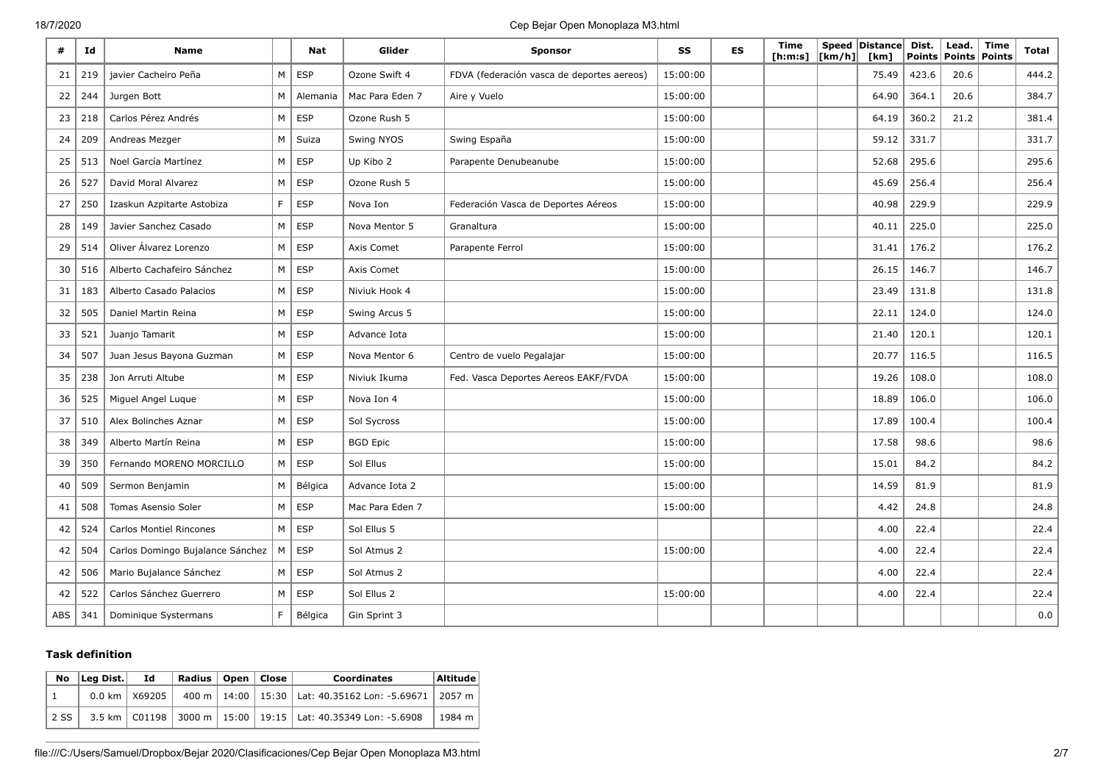#### 18/7/2020 Cep Bejar Open Monoplaza M3.html

| #          | Id  | <b>Name</b>                      |    | Nat        | Glider          | <b>Sponsor</b>                             | SS       | <b>ES</b> | Time<br>[h:m:s] | $\lfloor \lfloor km/h \rfloor \rfloor$ | Speed Distance<br>[km] | Dist.<br>Points | Lead. | <b>Time</b><br>Points Points | Total   |
|------------|-----|----------------------------------|----|------------|-----------------|--------------------------------------------|----------|-----------|-----------------|----------------------------------------|------------------------|-----------------|-------|------------------------------|---------|
| 21         | 219 | javier Cacheiro Peña             | M  | <b>ESP</b> | Ozone Swift 4   | FDVA (federación vasca de deportes aereos) | 15:00:00 |           |                 |                                        | 75.49                  | 423.6           | 20.6  |                              | 444.2   |
| 22         | 244 | Jurgen Bott                      | M  | Alemania   | Mac Para Eden 7 | Aire y Vuelo                               | 15:00:00 |           |                 |                                        | 64.90                  | 364.1           | 20.6  |                              | 384.7   |
| 23         | 218 | Carlos Pérez Andrés              | M  | <b>ESP</b> | Ozone Rush 5    |                                            | 15:00:00 |           |                 |                                        | 64.19                  | 360.2           | 21.2  |                              | 381.4   |
| 24         | 209 | Andreas Mezger                   | M  | Suiza      | Swing NYOS      | Swing España                               | 15:00:00 |           |                 |                                        | 59.12                  | 331.7           |       |                              | 331.7   |
| 25         | 513 | Noel García Martínez             | M  | <b>ESP</b> | Up Kibo 2       | Parapente Denubeanube                      | 15:00:00 |           |                 |                                        | 52.68                  | 295.6           |       |                              | 295.6   |
| 26         | 527 | David Moral Alvarez              | M  | <b>ESP</b> | Ozone Rush 5    |                                            | 15:00:00 |           |                 |                                        | 45.69                  | 256.4           |       |                              | 256.4   |
| 27         | 250 | Izaskun Azpitarte Astobiza       | F. | <b>ESP</b> | Nova Ion        | Federación Vasca de Deportes Aéreos        | 15:00:00 |           |                 |                                        | 40.98                  | 229.9           |       |                              | 229.9   |
| 28         | 149 | Javier Sanchez Casado            | M  | <b>ESP</b> | Nova Mentor 5   | Granaltura                                 | 15:00:00 |           |                 |                                        | 40.11                  | 225.0           |       |                              | 225.0   |
| 29         | 514 | Oliver Álvarez Lorenzo           | M  | <b>ESP</b> | Axis Comet      | Parapente Ferrol                           | 15:00:00 |           |                 |                                        | 31.41                  | 176.2           |       |                              | 176.2   |
| 30         | 516 | Alberto Cachafeiro Sánchez       | M  | <b>ESP</b> | Axis Comet      |                                            | 15:00:00 |           |                 |                                        | 26.15                  | 146.7           |       |                              | 146.7   |
| 31         | 183 | Alberto Casado Palacios          | M  | <b>ESP</b> | Niviuk Hook 4   |                                            | 15:00:00 |           |                 |                                        | 23.49                  | 131.8           |       |                              | 131.8   |
| 32         | 505 | Daniel Martin Reina              | M  | ESP        | Swing Arcus 5   |                                            | 15:00:00 |           |                 |                                        | 22.11                  | 124.0           |       |                              | 124.0   |
| 33         | 521 | Juanjo Tamarit                   | M  | <b>ESP</b> | Advance Iota    |                                            | 15:00:00 |           |                 |                                        | 21.40                  | 120.1           |       |                              | 120.1   |
| 34         | 507 | Juan Jesus Bayona Guzman         | M  | <b>ESP</b> | Nova Mentor 6   | Centro de vuelo Pegalajar                  | 15:00:00 |           |                 |                                        | 20.77                  | 116.5           |       |                              | 116.5   |
| 35         | 238 | Jon Arruti Altube                | M  | <b>ESP</b> | Niviuk Ikuma    | Fed. Vasca Deportes Aereos EAKF/FVDA       | 15:00:00 |           |                 |                                        | 19.26                  | 108.0           |       |                              | 108.0   |
| 36         | 525 | Miguel Angel Luque               | M  | ESP        | Nova Ion 4      |                                            | 15:00:00 |           |                 |                                        | 18.89                  | 106.0           |       |                              | 106.0   |
| 37         | 510 | Alex Bolinches Aznar             | M  | <b>ESP</b> | Sol Sycross     |                                            | 15:00:00 |           |                 |                                        | 17.89                  | 100.4           |       |                              | 100.4   |
| 38         | 349 | Alberto Martín Reina             | M  | <b>ESP</b> | <b>BGD Epic</b> |                                            | 15:00:00 |           |                 |                                        | 17.58                  | 98.6            |       |                              | 98.6    |
| 39         | 350 | Fernando MORENO MORCILLO         | M  | ESP        | Sol Ellus       |                                            | 15:00:00 |           |                 |                                        | 15.01                  | 84.2            |       |                              | 84.2    |
| 40         | 509 | Sermon Benjamin                  | M  | Bélgica    | Advance Iota 2  |                                            | 15:00:00 |           |                 |                                        | 14.59                  | 81.9            |       |                              | 81.9    |
| 41         | 508 | Tomas Asensio Soler              | M  | <b>ESP</b> | Mac Para Eden 7 |                                            | 15:00:00 |           |                 |                                        | 4.42                   | 24.8            |       |                              | 24.8    |
| 42         | 524 | <b>Carlos Montiel Rincones</b>   | M  | <b>ESP</b> | Sol Ellus 5     |                                            |          |           |                 |                                        | 4.00                   | 22.4            |       |                              | 22.4    |
| 42         | 504 | Carlos Domingo Bujalance Sánchez | M  | ESP        | Sol Atmus 2     |                                            | 15:00:00 |           |                 |                                        | 4.00                   | 22.4            |       |                              | 22.4    |
| 42         | 506 | Mario Bujalance Sánchez          | M  | <b>ESP</b> | Sol Atmus 2     |                                            |          |           |                 |                                        | 4.00                   | 22.4            |       |                              | 22.4    |
| 42         | 522 | Carlos Sánchez Guerrero          | M  | <b>ESP</b> | Sol Ellus 2     |                                            | 15:00:00 |           |                 |                                        | 4.00                   | 22.4            |       |                              | 22.4    |
| <b>ABS</b> | 341 | Dominique Systermans             | F. | Bélgica    | Gin Sprint 3    |                                            |          |           |                 |                                        |                        |                 |       |                              | $0.0\,$ |

#### **Task definition**

| No   | Lea Dist. | Id                        | Radius   Open   Close |  | <b>Coordinates</b>                                                    | Altitude |
|------|-----------|---------------------------|-----------------------|--|-----------------------------------------------------------------------|----------|
|      |           | $0.0 \text{ km}$   X69205 |                       |  | 400 m   14:00   15:30   Lat: 40.35162 Lon: -5.69671   2057 m          |          |
| 2 SS |           |                           |                       |  | 3.5 km   C01198   3000 m   15:00   19:15   Lat: 40.35349 Lon: -5.6908 | 1984 m   |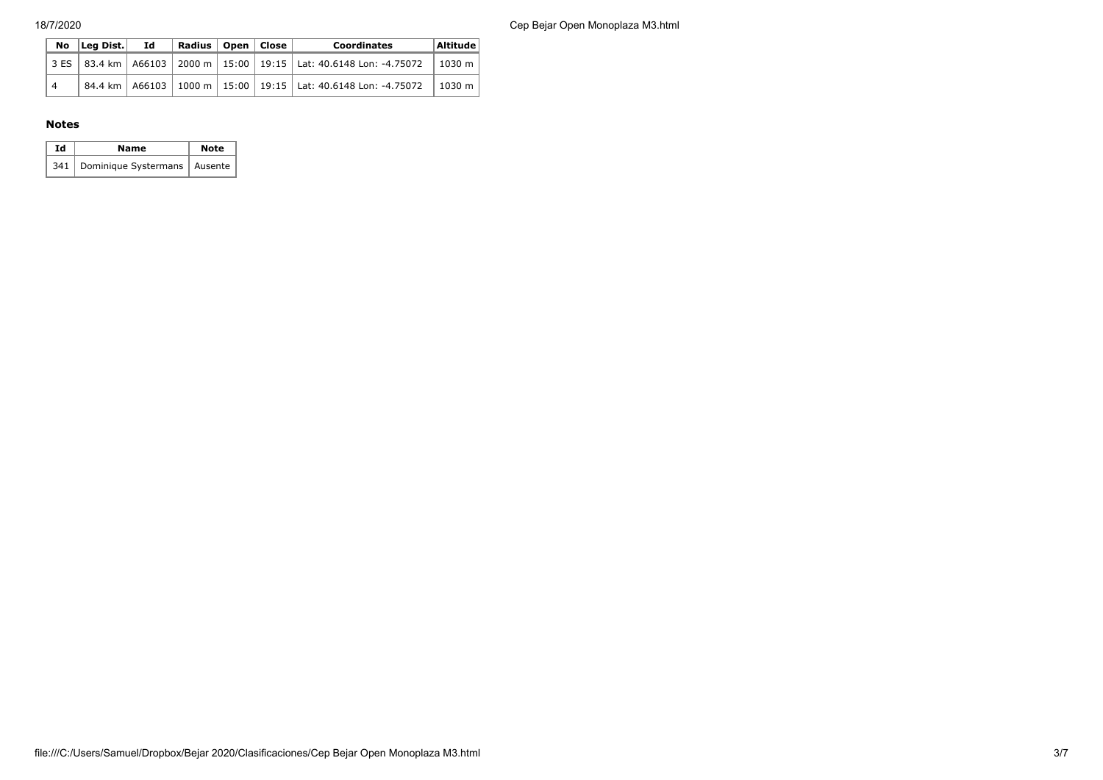18/7/2020 Cep Bejar Open Monoplaza M3.html

|    | No Lea Dist. Id | Radius   Open   Close |  | <b>Coordinates</b>                                                                   | Altitude       |
|----|-----------------|-----------------------|--|--------------------------------------------------------------------------------------|----------------|
|    |                 |                       |  | 3 ES 83.4 km   A66103   2000 m   15:00   19:15   Lat: 40.6148 Lon: -4.75072   1030 m |                |
| ∥4 |                 |                       |  | 84.4 km   A66103   1000 m   15:00   19:15   Lat: 40.6148 Lon: -4.75072               | $\vert$ 1030 m |

#### **Notes**

| Ιd | Name                                 | <b>Note</b> |
|----|--------------------------------------|-------------|
|    | 341   Dominique Systermans   Ausente |             |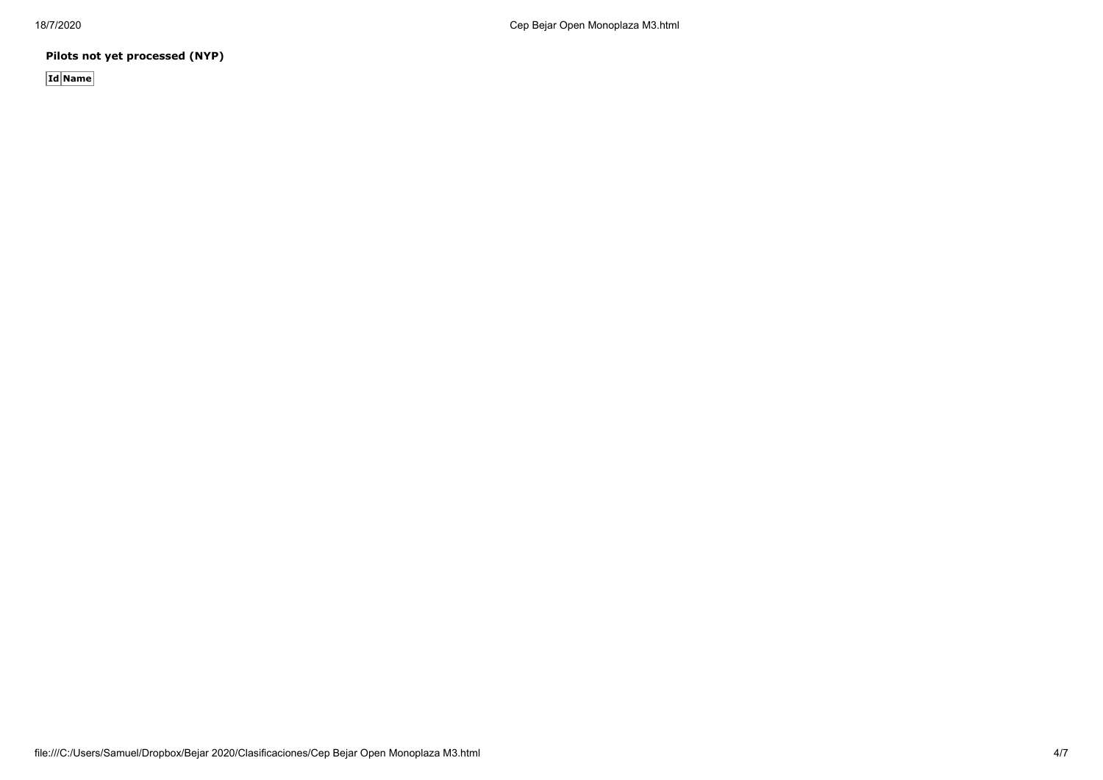**Pilots not yet processed (NYP)**

**Id Name**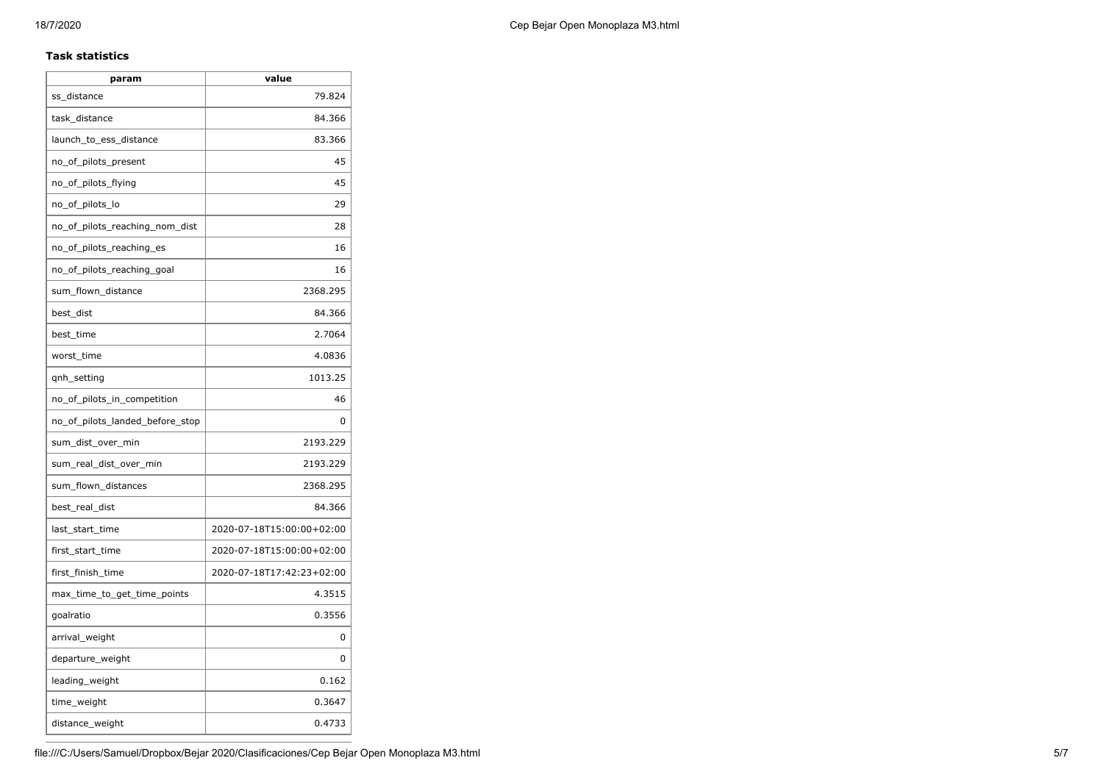#### **Task statistics**

| param                           | value                     |
|---------------------------------|---------------------------|
| ss_distance                     | 79.824                    |
| task distance                   | 84.366                    |
| launch_to_ess_distance          | 83.366                    |
| no_of_pilots_present            | 45                        |
| no_of_pilots_flying             | 45                        |
| no_of_pilots_lo                 | 29                        |
| no_of_pilots_reaching_nom_dist  | 28                        |
| no_of_pilots_reaching_es        | 16                        |
| no_of_pilots_reaching_goal      | 16                        |
| sum_flown_distance              | 2368.295                  |
| best_dist                       | 84.366                    |
| best_time                       | 2.7064                    |
| worst_time                      | 4.0836                    |
| qnh_setting                     | 1013.25                   |
| no_of_pilots_in_competition     | 46                        |
| no_of_pilots_landed_before_stop | 0                         |
| sum_dist_over_min               | 2193.229                  |
| sum real dist over min          | 2193.229                  |
| sum_flown_distances             | 2368.295                  |
| best_real_dist                  | 84.366                    |
| last start time                 | 2020-07-18T15:00:00+02:00 |
| first_start_time                | 2020-07-18T15:00:00+02:00 |
| first_finish_time               | 2020-07-18T17:42:23+02:00 |
| max_time_to_get_time_points     | 4.3515                    |
| goalratio                       | 0.3556                    |
| arrival_weight                  | 0                         |
| departure_weight                | 0                         |
| leading_weight                  | 0.162                     |
| time_weight                     | 0.3647                    |
| distance_weight                 | 0.4733                    |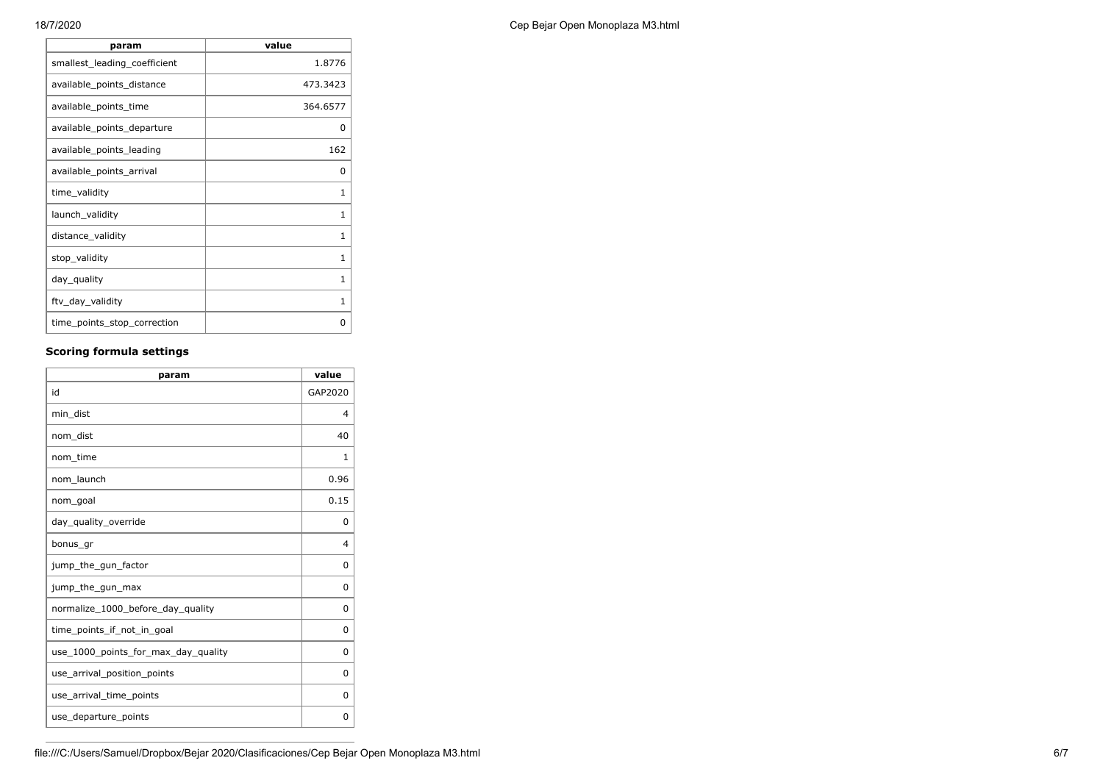| 18/7/2020 | Cep Bejar Open Monoplaza M3.html |
|-----------|----------------------------------|
|-----------|----------------------------------|

| param                        | value        |
|------------------------------|--------------|
| smallest_leading_coefficient | 1.8776       |
| available_points_distance    | 473.3423     |
| available_points_time        | 364.6577     |
| available_points_departure   | 0            |
| available_points_leading     | 162          |
| available_points_arrival     | 0            |
| time_validity                | 1            |
| launch_validity              | 1            |
| distance_validity            | 1            |
| stop_validity                | 1            |
| day_quality                  | 1            |
| ftv_day_validity             | $\mathbf{1}$ |
| time_points_stop_correction  | 0            |

### **Scoring formula settings**

| param                               | value        |
|-------------------------------------|--------------|
| id                                  | GAP2020      |
| min dist                            | 4            |
| nom dist                            | 40           |
| nom_time                            | $\mathbf{1}$ |
| nom launch                          | 0.96         |
| nom_goal                            | 0.15         |
| day_quality_override                | 0            |
| bonus_gr                            | 4            |
| jump_the_gun_factor                 | 0            |
| jump_the_gun_max                    | 0            |
| normalize_1000_before_day_quality   | 0            |
| time points if not in goal          | 0            |
| use_1000_points_for_max_day_quality | 0            |
| use arrival position points         | 0            |
| use_arrival_time_points             | 0            |
| use_departure_points                | 0            |